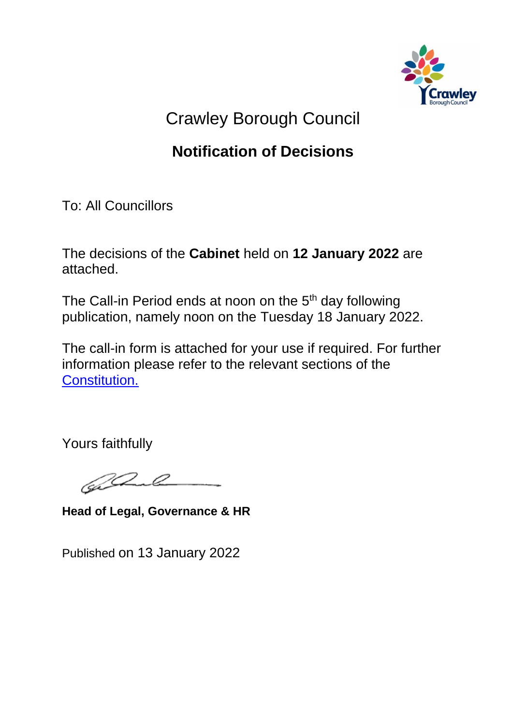

## Crawley Borough Council

## **Notification of Decisions**

To: All Councillors

The decisions of the **Cabinet** held on **12 January 2022** are attached.

The Call-in Period ends at noon on the 5<sup>th</sup> day following publication, namely noon on the Tuesday 18 January 2022.

The call-in form is attached for your use if required. For further information please refer to the relevant sections of the [Constitution.](https://democracy.crawley.gov.uk/ieListDocuments.aspx?CId=169&MId=2905&Ver=4&info=1&bcr=1)

Yours faithfully

 $\mathscr{Q}$ 

**Head of Legal, Governance & HR**

Published on 13 January 2022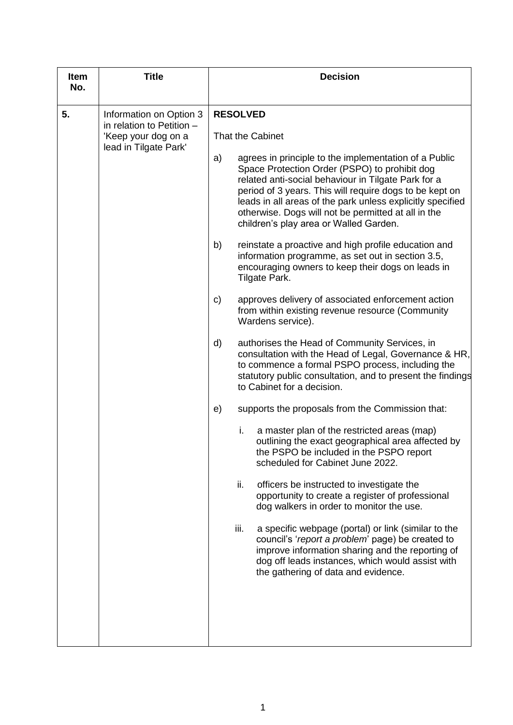| <b>Item</b><br>No. | <b>Title</b>                                                              | <b>Decision</b>  |                 |                                                                                                                                                                                                                                                                                                                                                                                         |
|--------------------|---------------------------------------------------------------------------|------------------|-----------------|-----------------------------------------------------------------------------------------------------------------------------------------------------------------------------------------------------------------------------------------------------------------------------------------------------------------------------------------------------------------------------------------|
| 5.                 | Information on Option 3                                                   |                  | <b>RESOLVED</b> |                                                                                                                                                                                                                                                                                                                                                                                         |
|                    | in relation to Petition -<br>'Keep your dog on a<br>lead in Tilgate Park' | That the Cabinet |                 |                                                                                                                                                                                                                                                                                                                                                                                         |
|                    |                                                                           | a)               |                 | agrees in principle to the implementation of a Public<br>Space Protection Order (PSPO) to prohibit dog<br>related anti-social behaviour in Tilgate Park for a<br>period of 3 years. This will require dogs to be kept on<br>leads in all areas of the park unless explicitly specified<br>otherwise. Dogs will not be permitted at all in the<br>children's play area or Walled Garden. |
|                    |                                                                           | b)               |                 | reinstate a proactive and high profile education and<br>information programme, as set out in section 3.5,<br>encouraging owners to keep their dogs on leads in<br>Tilgate Park.                                                                                                                                                                                                         |
|                    |                                                                           | C)               |                 | approves delivery of associated enforcement action<br>from within existing revenue resource (Community<br>Wardens service).                                                                                                                                                                                                                                                             |
|                    |                                                                           | d)               |                 | authorises the Head of Community Services, in<br>consultation with the Head of Legal, Governance & HR,<br>to commence a formal PSPO process, including the<br>statutory public consultation, and to present the findings<br>to Cabinet for a decision.                                                                                                                                  |
|                    |                                                                           | e)               |                 | supports the proposals from the Commission that:                                                                                                                                                                                                                                                                                                                                        |
|                    |                                                                           |                  | i.              | a master plan of the restricted areas (map)<br>outlining the exact geographical area affected by<br>the PSPO be included in the PSPO report<br>scheduled for Cabinet June 2022.                                                                                                                                                                                                         |
|                    |                                                                           |                  | ii.             | officers be instructed to investigate the<br>opportunity to create a register of professional<br>dog walkers in order to monitor the use.                                                                                                                                                                                                                                               |
|                    |                                                                           |                  | iii.            | a specific webpage (portal) or link (similar to the<br>council's 'report a problem' page) be created to<br>improve information sharing and the reporting of<br>dog off leads instances, which would assist with<br>the gathering of data and evidence.                                                                                                                                  |
|                    |                                                                           |                  |                 |                                                                                                                                                                                                                                                                                                                                                                                         |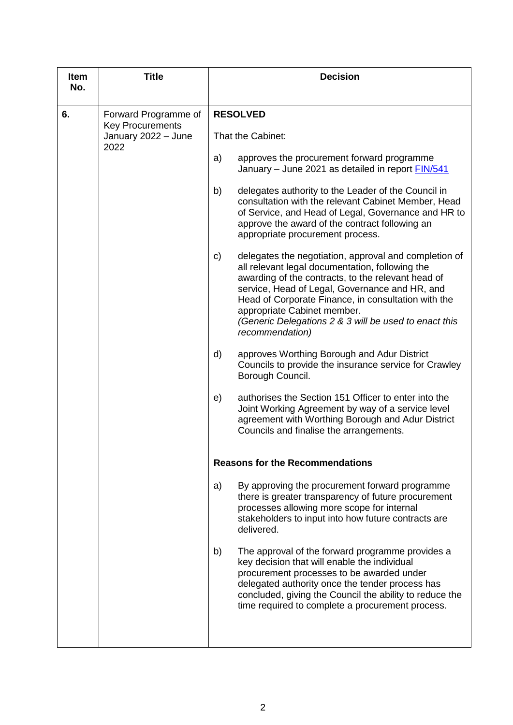| <b>Item</b><br>No. | <b>Title</b>                                                                   | <b>Decision</b>                      |                                                                                                                                                                                                                                                                                                                                                                                    |  |  |
|--------------------|--------------------------------------------------------------------------------|--------------------------------------|------------------------------------------------------------------------------------------------------------------------------------------------------------------------------------------------------------------------------------------------------------------------------------------------------------------------------------------------------------------------------------|--|--|
|                    |                                                                                |                                      |                                                                                                                                                                                                                                                                                                                                                                                    |  |  |
| 6.                 | Forward Programme of<br><b>Key Procurements</b><br>January 2022 - June<br>2022 | <b>RESOLVED</b><br>That the Cabinet: |                                                                                                                                                                                                                                                                                                                                                                                    |  |  |
|                    |                                                                                |                                      |                                                                                                                                                                                                                                                                                                                                                                                    |  |  |
|                    |                                                                                | a)                                   | approves the procurement forward programme<br>January - June 2021 as detailed in report <b>FIN/541</b>                                                                                                                                                                                                                                                                             |  |  |
|                    |                                                                                | b)                                   | delegates authority to the Leader of the Council in<br>consultation with the relevant Cabinet Member, Head<br>of Service, and Head of Legal, Governance and HR to<br>approve the award of the contract following an<br>appropriate procurement process.                                                                                                                            |  |  |
|                    |                                                                                | C)                                   | delegates the negotiation, approval and completion of<br>all relevant legal documentation, following the<br>awarding of the contracts, to the relevant head of<br>service, Head of Legal, Governance and HR, and<br>Head of Corporate Finance, in consultation with the<br>appropriate Cabinet member.<br>(Generic Delegations 2 & 3 will be used to enact this<br>recommendation) |  |  |
|                    |                                                                                | d)                                   | approves Worthing Borough and Adur District<br>Councils to provide the insurance service for Crawley<br>Borough Council.                                                                                                                                                                                                                                                           |  |  |
|                    |                                                                                | e)                                   | authorises the Section 151 Officer to enter into the<br>Joint Working Agreement by way of a service level<br>agreement with Worthing Borough and Adur District<br>Councils and finalise the arrangements.                                                                                                                                                                          |  |  |
|                    |                                                                                |                                      | <b>Reasons for the Recommendations</b>                                                                                                                                                                                                                                                                                                                                             |  |  |
|                    |                                                                                | a)                                   | By approving the procurement forward programme<br>there is greater transparency of future procurement<br>processes allowing more scope for internal<br>stakeholders to input into how future contracts are<br>delivered.                                                                                                                                                           |  |  |
|                    |                                                                                | b)                                   | The approval of the forward programme provides a<br>key decision that will enable the individual<br>procurement processes to be awarded under<br>delegated authority once the tender process has<br>concluded, giving the Council the ability to reduce the<br>time required to complete a procurement process.                                                                    |  |  |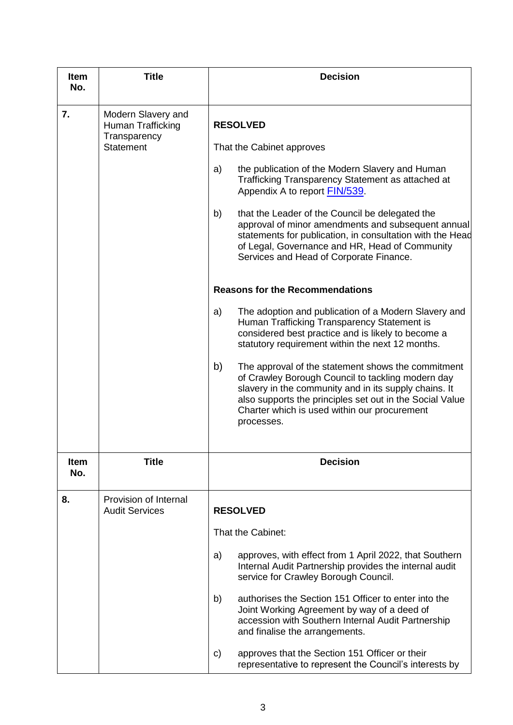| <b>Item</b><br>No. | <b>Title</b>                                                                | <b>Decision</b>                                                                                                                                                                                                                                                                                                                                                                                                                                                     |
|--------------------|-----------------------------------------------------------------------------|---------------------------------------------------------------------------------------------------------------------------------------------------------------------------------------------------------------------------------------------------------------------------------------------------------------------------------------------------------------------------------------------------------------------------------------------------------------------|
| 7.                 | Modern Slavery and<br>Human Trafficking<br>Transparency<br><b>Statement</b> | <b>RESOLVED</b><br>That the Cabinet approves<br>the publication of the Modern Slavery and Human<br>a)<br>Trafficking Transparency Statement as attached at<br>Appendix A to report FIN/539<br>b)<br>that the Leader of the Council be delegated the<br>approval of minor amendments and subsequent annual<br>statements for publication, in consultation with the Head<br>of Legal, Governance and HR, Head of Community<br>Services and Head of Corporate Finance. |
|                    |                                                                             | <b>Reasons for the Recommendations</b>                                                                                                                                                                                                                                                                                                                                                                                                                              |
|                    |                                                                             | The adoption and publication of a Modern Slavery and<br>a)<br>Human Trafficking Transparency Statement is<br>considered best practice and is likely to become a<br>statutory requirement within the next 12 months.                                                                                                                                                                                                                                                 |
|                    |                                                                             | b)<br>The approval of the statement shows the commitment<br>of Crawley Borough Council to tackling modern day<br>slavery in the community and in its supply chains. It<br>also supports the principles set out in the Social Value<br>Charter which is used within our procurement<br>processes.                                                                                                                                                                    |
| <b>Item</b>        | <b>Title</b>                                                                | <b>Decision</b>                                                                                                                                                                                                                                                                                                                                                                                                                                                     |
| No.                |                                                                             |                                                                                                                                                                                                                                                                                                                                                                                                                                                                     |
| 8.                 | Provision of Internal<br><b>Audit Services</b>                              | <b>RESOLVED</b>                                                                                                                                                                                                                                                                                                                                                                                                                                                     |
|                    |                                                                             | That the Cabinet:                                                                                                                                                                                                                                                                                                                                                                                                                                                   |
|                    |                                                                             | approves, with effect from 1 April 2022, that Southern<br>a)<br>Internal Audit Partnership provides the internal audit<br>service for Crawley Borough Council.                                                                                                                                                                                                                                                                                                      |
|                    |                                                                             | authorises the Section 151 Officer to enter into the<br>b)<br>Joint Working Agreement by way of a deed of<br>accession with Southern Internal Audit Partnership<br>and finalise the arrangements.                                                                                                                                                                                                                                                                   |
|                    |                                                                             | approves that the Section 151 Officer or their<br>C)<br>representative to represent the Council's interests by                                                                                                                                                                                                                                                                                                                                                      |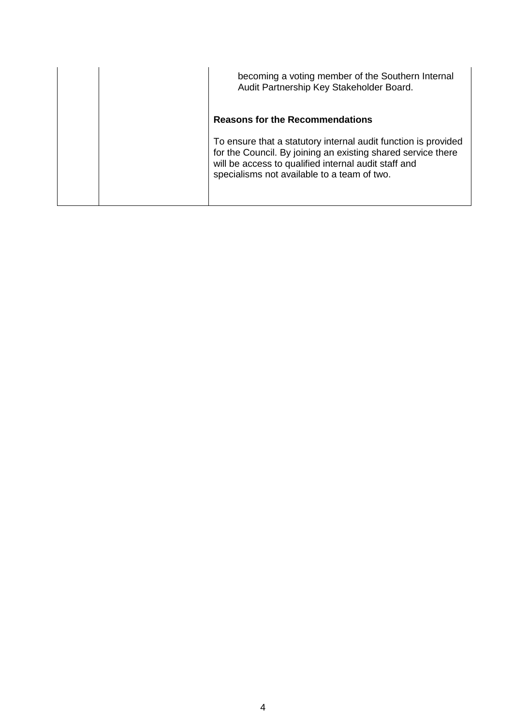| becoming a voting member of the Southern Internal<br>Audit Partnership Key Stakeholder Board.                                                                                                                                         |
|---------------------------------------------------------------------------------------------------------------------------------------------------------------------------------------------------------------------------------------|
| <b>Reasons for the Recommendations</b>                                                                                                                                                                                                |
| To ensure that a statutory internal audit function is provided<br>for the Council. By joining an existing shared service there<br>will be access to qualified internal audit staff and<br>specialisms not available to a team of two. |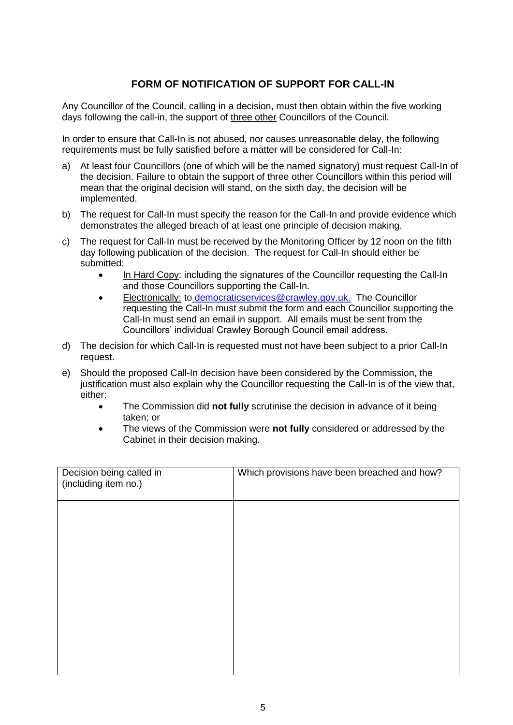## **FORM OF NOTIFICATION OF SUPPORT FOR CALL-IN**

Any Councillor of the Council, calling in a decision, must then obtain within the five working days following the call-in, the support of three other Councillors of the Council.

In order to ensure that Call-In is not abused, nor causes unreasonable delay, the following requirements must be fully satisfied before a matter will be considered for Call-In:

- a) At least four Councillors (one of which will be the named signatory) must request Call-In of the decision. Failure to obtain the support of three other Councillors within this period will mean that the original decision will stand, on the sixth day, the decision will be implemented.
- b) The request for Call-In must specify the reason for the Call-In and provide evidence which demonstrates the alleged breach of at least one principle of decision making.
- c) The request for Call-In must be received by the Monitoring Officer by 12 noon on the fifth day following publication of the decision. The request for Call-In should either be submitted:
	- In Hard Copy: including the signatures of the Councillor requesting the Call-In and those Councillors supporting the Call-In.
	- Electronically: to [democraticservices@crawley.gov.uk.](mailto:democraticservices@crawley.gov.uk) The Councillor requesting the Call-In must submit the form and each Councillor supporting the Call-In must send an email in support. All emails must be sent from the Councillors' individual Crawley Borough Council email address.
- d) The decision for which Call-In is requested must not have been subject to a prior Call-In request.
- e) Should the proposed Call-In decision have been considered by the Commission, the justification must also explain why the Councillor requesting the Call-In is of the view that, either:
	- The Commission did **not fully** scrutinise the decision in advance of it being taken; or
	- The views of the Commission were **not fully** considered or addressed by the Cabinet in their decision making.

| Decision being called in<br>(including item no.) | Which provisions have been breached and how? |
|--------------------------------------------------|----------------------------------------------|
|                                                  |                                              |
|                                                  |                                              |
|                                                  |                                              |
|                                                  |                                              |
|                                                  |                                              |